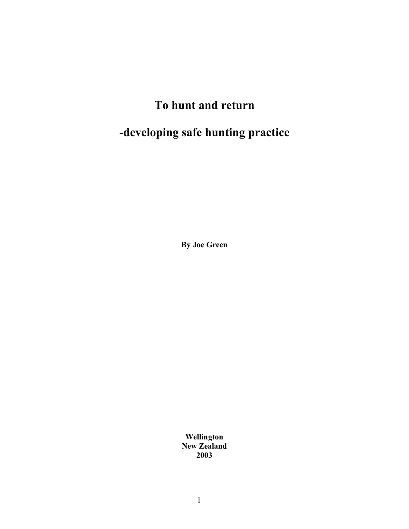# **To hunt and return**

# -**developing safe hunting practice**

**By Joe Green**

**Wellington New Zealand 2003**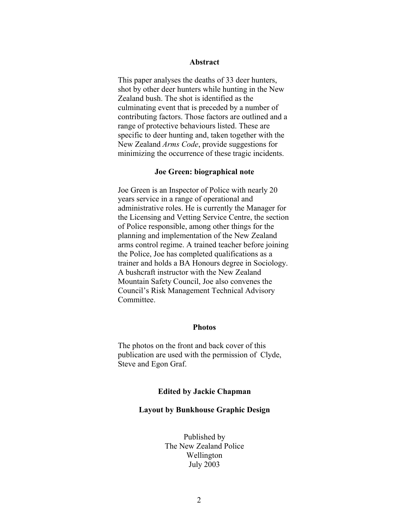# **Abstract**

This paper analyses the deaths of 33 deer hunters, shot by other deer hunters while hunting in the New Zealand bush. The shot is identified as the culminating event that is preceded by a number of contributing factors. Those factors are outlined and a range of protective behaviours listed. These are specific to deer hunting and, taken together with the New Zealand *Arms Code*, provide suggestions for minimizing the occurrence of these tragic incidents.

# **Joe Green: biographical note**

Joe Green is an Inspector of Police with nearly 20 years service in a range of operational and administrative roles. He is currently the Manager for the Licensing and Vetting Service Centre, the section of Police responsible, among other things for the planning and implementation of the New Zealand arms control regime. A trained teacher before joining the Police, Joe has completed qualifications as a trainer and holds a BA Honours degree in Sociology. A bushcraft instructor with the New Zealand Mountain Safety Council, Joe also convenes the Council's Risk Management Technical Advisory Committee.

# **Photos**

The photos on the front and back cover of this publication are used with the permission of Clyde, Steve and Egon Graf.

#### **Edited by Jackie Chapman**

## **Layout by Bunkhouse Graphic Design**

Published by The New Zealand Police Wellington July 2003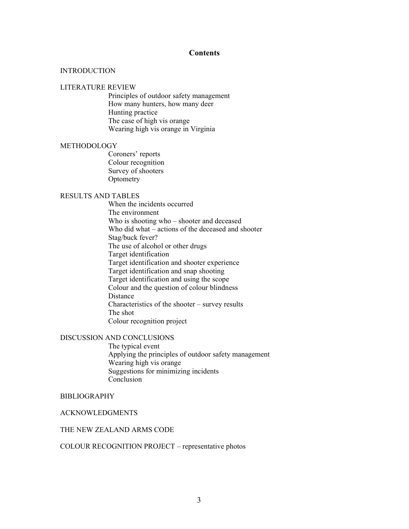# **Contents**

#### **INTRODUCTION**

#### LITERATURE REVIEW

Principles of outdoor safety management How many hunters, how many deer Hunting practice The case of high vis orange Wearing high vis orange in Virginia

#### **METHODOLOGY**

Coroners' reports Colour recognition Survey of shooters **Optometry** 

# RESULTS AND TABLES

When the incidents occurred The environment Who is shooting who – shooter and deceased Who did what – actions of the deceased and shooter Stag/buck fever? The use of alcohol or other drugs Target identification Target identification and shooter experience Target identification and snap shooting Target identification and using the scope Colour and the question of colour blindness Distance Characteristics of the shooter – survey results The shot Colour recognition project

# DISCUSSION AND CONCLUSIONS

The typical event Applying the principles of outdoor safety management Wearing high vis orange Suggestions for minimizing incidents Conclusion

#### BIBLIOGRAPHY

# ACKNOWLEDGMENTS

# THE NEW ZEALAND ARMS CODE

#### COLOUR RECOGNITION PROJECT – representative photos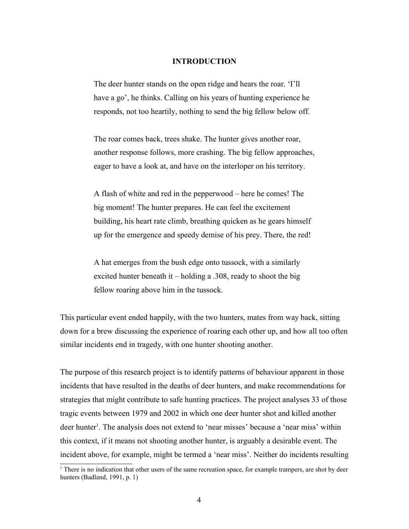# **INTRODUCTION**

The deer hunter stands on the open ridge and hears the roar. 'I'll have a go', he thinks. Calling on his years of hunting experience he responds, not too heartily, nothing to send the big fellow below off.

The roar comes back, trees shake. The hunter gives another roar, another response follows, more crashing. The big fellow approaches, eager to have a look at, and have on the interloper on his territory.

A flash of white and red in the pepperwood – here he comes! The big moment! The hunter prepares. He can feel the excitement building, his heart rate climb, breathing quicken as he gears himself up for the emergence and speedy demise of his prey. There, the red!

A hat emerges from the bush edge onto tussock, with a similarly excited hunter beneath it – holding a .308, ready to shoot the big fellow roaring above him in the tussock.

This particular event ended happily, with the two hunters, mates from way back, sitting down for a brew discussing the experience of roaring each other up, and how all too often similar incidents end in tragedy, with one hunter shooting another.

The purpose of this research project is to identify patterns of behaviour apparent in those incidents that have resulted in the deaths of deer hunters, and make recommendations for strategies that might contribute to safe hunting practices. The project analyses 33 of those tragic events between 1979 and 2002 in which one deer hunter shot and killed another deer hunter 1 . The analysis does not extend to 'near misses' because a 'near miss' within this context, if it means not shooting another hunter, is arguably a desirable event. The incident above, for example, might be termed a 'near miss'. Neither do incidents resulting

<sup>&</sup>lt;sup>1</sup> There is no indication that other users of the same recreation space, for example trampers, are shot by deer hunters (Badland, 1991, p. 1)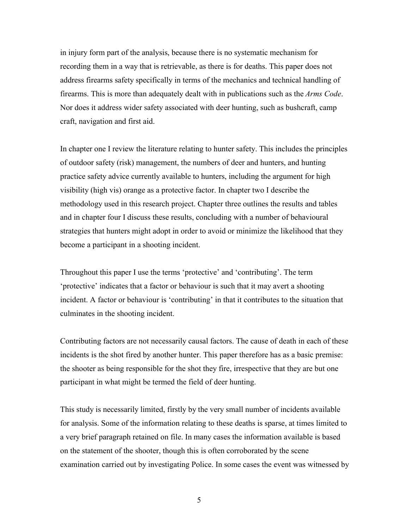in injury form part of the analysis, because there is no systematic mechanism for recording them in a way that is retrievable, as there is for deaths. This paper does not address firearms safety specifically in terms of the mechanics and technical handling of firearms. This is more than adequately dealt with in publications such as the *Arms Code*. Nor does it address wider safety associated with deer hunting, such as bushcraft, camp craft, navigation and first aid.

In chapter one I review the literature relating to hunter safety. This includes the principles of outdoor safety (risk) management, the numbers of deer and hunters, and hunting practice safety advice currently available to hunters, including the argument for high visibility (high vis) orange as a protective factor. In chapter two I describe the methodology used in this research project. Chapter three outlines the results and tables and in chapter four I discuss these results, concluding with a number of behavioural strategies that hunters might adopt in order to avoid or minimize the likelihood that they become a participant in a shooting incident.

Throughout this paper I use the terms 'protective' and 'contributing'. The term 'protective' indicates that a factor or behaviour is such that it may avert a shooting incident. A factor or behaviour is 'contributing' in that it contributes to the situation that culminates in the shooting incident.

Contributing factors are not necessarily causal factors. The cause of death in each of these incidents is the shot fired by another hunter. This paper therefore has as a basic premise: the shooter as being responsible for the shot they fire, irrespective that they are but one participant in what might be termed the field of deer hunting.

This study is necessarily limited, firstly by the very small number of incidents available for analysis. Some of the information relating to these deaths is sparse, at times limited to a very brief paragraph retained on file. In many cases the information available is based on the statement of the shooter, though this is often corroborated by the scene examination carried out by investigating Police. In some cases the event was witnessed by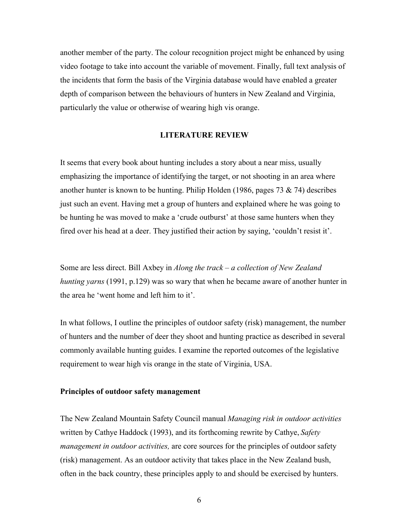another member of the party. The colour recognition project might be enhanced by using video footage to take into account the variable of movement. Finally, full text analysis of the incidents that form the basis of the Virginia database would have enabled a greater depth of comparison between the behaviours of hunters in New Zealand and Virginia, particularly the value or otherwise of wearing high vis orange.

# **LITERATURE REVIEW**

It seems that every book about hunting includes a story about a near miss, usually emphasizing the importance of identifying the target, or not shooting in an area where another hunter is known to be hunting. Philip Holden (1986, pages 73  $\&$  74) describes just such an event. Having met a group of hunters and explained where he was going to be hunting he was moved to make a 'crude outburst' at those same hunters when they fired over his head at a deer. They justified their action by saying, 'couldn't resist it'.

Some are less direct. Bill Axbey in *Along the track – a collection of New Zealand hunting yarns* (1991, p.129) was so wary that when he became aware of another hunter in the area he 'went home and left him to it'.

In what follows, I outline the principles of outdoor safety (risk) management, the number of hunters and the number of deer they shoot and hunting practice as described in several commonly available hunting guides. I examine the reported outcomes of the legislative requirement to wear high vis orange in the state of Virginia, USA.

# **Principles of outdoor safety management**

The New Zealand Mountain Safety Council manual *Managing risk in outdoor activities* written by Cathye Haddock (1993), and its forthcoming rewrite by Cathye, *Safety management in outdoor activities,* are core sources for the principles of outdoor safety (risk) management. As an outdoor activity that takes place in the New Zealand bush, often in the back country, these principles apply to and should be exercised by hunters.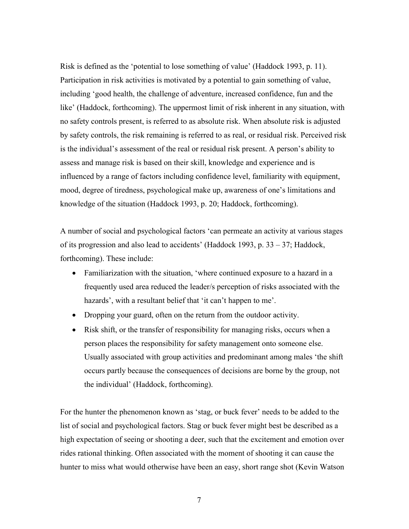Risk is defined as the 'potential to lose something of value' (Haddock 1993, p. 11). Participation in risk activities is motivated by a potential to gain something of value, including 'good health, the challenge of adventure, increased confidence, fun and the like' (Haddock, forthcoming). The uppermost limit of risk inherent in any situation, with no safety controls present, is referred to as absolute risk. When absolute risk is adjusted by safety controls, the risk remaining is referred to as real, or residual risk. Perceived risk is the individual's assessment of the real or residual risk present. A person's ability to assess and manage risk is based on their skill, knowledge and experience and is influenced by a range of factors including confidence level, familiarity with equipment, mood, degree of tiredness, psychological make up, awareness of one's limitations and knowledge of the situation (Haddock 1993, p. 20; Haddock, forthcoming).

A number of social and psychological factors 'can permeate an activity at various stages of its progression and also lead to accidents' (Haddock 1993, p. 33 – 37; Haddock, forthcoming). These include:

- Familiarization with the situation, 'where continued exposure to a hazard in a frequently used area reduced the leader/s perception of risks associated with the hazards', with a resultant belief that 'it can't happen to me'.
- Dropping your guard, often on the return from the outdoor activity.
- Risk shift, or the transfer of responsibility for managing risks, occurs when a person places the responsibility for safety management onto someone else. Usually associated with group activities and predominant among males 'the shift occurs partly because the consequences of decisions are borne by the group, not the individual' (Haddock, forthcoming).

For the hunter the phenomenon known as 'stag, or buck fever' needs to be added to the list of social and psychological factors. Stag or buck fever might best be described as a high expectation of seeing or shooting a deer, such that the excitement and emotion over rides rational thinking. Often associated with the moment of shooting it can cause the hunter to miss what would otherwise have been an easy, short range shot (Kevin Watson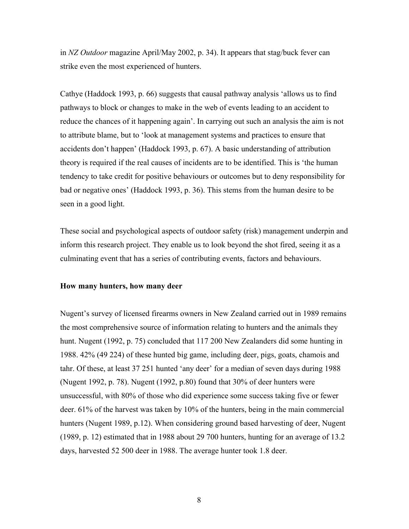in *NZ Outdoor* magazine April/May 2002, p. 34). It appears that stag/buck fever can strike even the most experienced of hunters.

Cathye (Haddock 1993, p. 66) suggests that causal pathway analysis 'allows us to find pathways to block or changes to make in the web of events leading to an accident to reduce the chances of it happening again'. In carrying out such an analysis the aim is not to attribute blame, but to 'look at management systems and practices to ensure that accidents don't happen' (Haddock 1993, p. 67). A basic understanding of attribution theory is required if the real causes of incidents are to be identified. This is 'the human tendency to take credit for positive behaviours or outcomes but to deny responsibility for bad or negative ones' (Haddock 1993, p. 36). This stems from the human desire to be seen in a good light.

These social and psychological aspects of outdoor safety (risk) management underpin and inform this research project. They enable us to look beyond the shot fired, seeing it as a culminating event that has a series of contributing events, factors and behaviours.

# **How many hunters, how many deer**

Nugent's survey of licensed firearms owners in New Zealand carried out in 1989 remains the most comprehensive source of information relating to hunters and the animals they hunt. Nugent (1992, p. 75) concluded that 117 200 New Zealanders did some hunting in 1988. 42% (49 224) of these hunted big game, including deer, pigs, goats, chamois and tahr. Of these, at least 37 251 hunted 'any deer' for a median of seven days during 1988 (Nugent 1992, p. 78). Nugent (1992, p.80) found that 30% of deer hunters were unsuccessful, with 80% of those who did experience some success taking five or fewer deer. 61% of the harvest was taken by 10% of the hunters, being in the main commercial hunters (Nugent 1989, p.12). When considering ground based harvesting of deer, Nugent (1989, p. 12) estimated that in 1988 about 29 700 hunters, hunting for an average of 13.2 days, harvested 52 500 deer in 1988. The average hunter took 1.8 deer.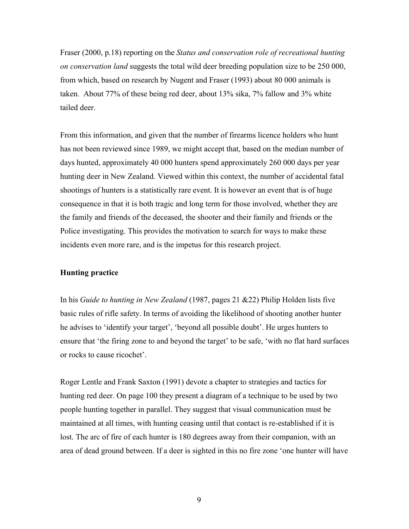Fraser (2000, p.18) reporting on the *Status and conservation role of recreational hunting on conservation land* suggests the total wild deer breeding population size to be 250 000, from which, based on research by Nugent and Fraser (1993) about 80 000 animals is taken. About 77% of these being red deer, about 13% sika, 7% fallow and 3% white tailed deer.

From this information, and given that the number of firearms licence holders who hunt has not been reviewed since 1989, we might accept that, based on the median number of days hunted, approximately 40 000 hunters spend approximately 260 000 days per year hunting deer in New Zealand. Viewed within this context, the number of accidental fatal shootings of hunters is a statistically rare event. It is however an event that is of huge consequence in that it is both tragic and long term for those involved, whether they are the family and friends of the deceased, the shooter and their family and friends or the Police investigating. This provides the motivation to search for ways to make these incidents even more rare, and is the impetus for this research project.

# **Hunting practice**

In his *Guide to hunting in New Zealand* (1987, pages 21 &22) Philip Holden lists five basic rules of rifle safety. In terms of avoiding the likelihood of shooting another hunter he advises to 'identify your target', 'beyond all possible doubt'. He urges hunters to ensure that 'the firing zone to and beyond the target' to be safe, 'with no flat hard surfaces or rocks to cause ricochet'.

Roger Lentle and Frank Saxton (1991) devote a chapter to strategies and tactics for hunting red deer. On page 100 they present a diagram of a technique to be used by two people hunting together in parallel. They suggest that visual communication must be maintained at all times, with hunting ceasing until that contact is re-established if it is lost. The arc of fire of each hunter is 180 degrees away from their companion, with an area of dead ground between. If a deer is sighted in this no fire zone 'one hunter will have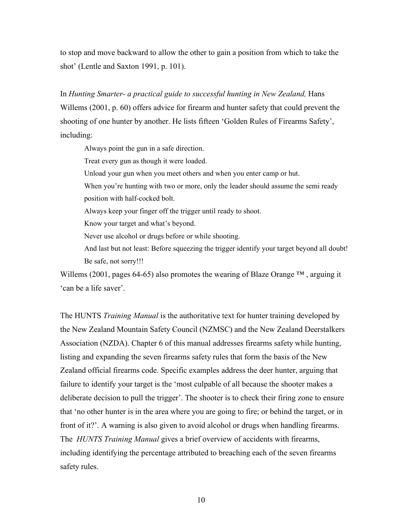to stop and move backward to allow the other to gain a position from which to take the shot' (Lentle and Saxton 1991, p. 101).

# In *Hunting Smarter- a practical guide to successful hunting in New Zealand,* Hans

Willems (2001, p. 60) offers advice for firearm and hunter safety that could prevent the shooting of one hunter by another. He lists fifteen 'Golden Rules of Firearms Safety', including:

Always point the gun in a safe direction.

Treat every gun as though it were loaded.

Unload your gun when you meet others and when you enter camp or hut.

When you're hunting with two or more, only the leader should assume the semi ready position with half-cocked bolt.

Always keep your finger off the trigger until ready to shoot.

Know your target and what's beyond.

Never use alcohol or drugs before or while shooting.

And last but not least: Before squeezing the trigger identify your target beyond all doubt! Be safe, not sorry!!!

Willems (2001, pages 64-65) also promotes the wearing of Blaze Orange  $TM$ , arguing it 'can be a life saver'.

The HUNTS *Training Manual* is the authoritative text for hunter training developed by the New Zealand Mountain Safety Council (NZMSC) and the New Zealand Deerstalkers Association (NZDA). Chapter 6 of this manual addresses firearms safety while hunting, listing and expanding the seven firearms safety rules that form the basis of the New Zealand official firearms code. Specific examples address the deer hunter, arguing that failure to identify your target is the 'most culpable of all because the shooter makes a deliberate decision to pull the trigger'. The shooter is to check their firing zone to ensure that 'no other hunter is in the area where you are going to fire; or behind the target, or in front of it?'. A warning is also given to avoid alcohol or drugs when handling firearms. The *HUNTS Training Manual* gives a brief overview of accidents with firearms, including identifying the percentage attributed to breaching each of the seven firearms safety rules.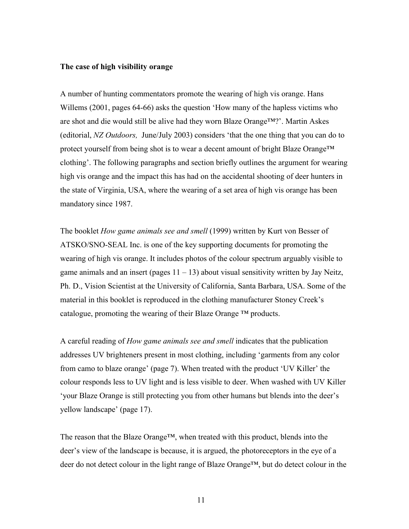## **The case of high visibility orange**

A number of hunting commentators promote the wearing of high vis orange. Hans Willems (2001, pages 64-66) asks the question 'How many of the hapless victims who are shot and die would still be alive had they worn Blaze Orange™?'. Martin Askes (editorial, *NZ Outdoors,* June/July 2003) considers 'that the one thing that you can do to protect yourself from being shot is to wear a decent amount of bright Blaze Orange™ clothing'. The following paragraphs and section briefly outlines the argument for wearing high vis orange and the impact this has had on the accidental shooting of deer hunters in the state of Virginia, USA, where the wearing of a set area of high vis orange has been mandatory since 1987.

The booklet *How game animals see and smell* (1999) written by Kurt von Besser of ATSKO/SNO-SEAL Inc. is one of the key supporting documents for promoting the wearing of high vis orange. It includes photos of the colour spectrum arguably visible to game animals and an insert (pages  $11 - 13$ ) about visual sensitivity written by Jay Neitz, Ph. D., Vision Scientist at the University of California, Santa Barbara, USA. Some of the material in this booklet is reproduced in the clothing manufacturer Stoney Creek's catalogue, promoting the wearing of their Blaze Orange  $TM$  products.

A careful reading of *How game animals see and smell* indicates that the publication addresses UV brighteners present in most clothing, including 'garments from any color from camo to blaze orange' (page 7). When treated with the product 'UV Killer' the colour responds less to UV light and is less visible to deer. When washed with UV Killer 'your Blaze Orange is still protecting you from other humans but blends into the deer's yellow landscape' (page 17).

The reason that the Blaze Orange™, when treated with this product, blends into the deer's view of the landscape is because, it is argued, the photoreceptors in the eye of a deer do not detect colour in the light range of Blaze Orange™, but do detect colour in the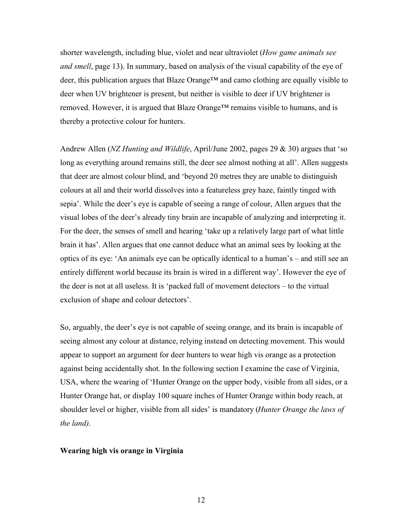shorter wavelength, including blue, violet and near ultraviolet (*How game animals see and smell*, page 13). In summary, based on analysis of the visual capability of the eye of deer, this publication argues that Blaze Orange™ and camo clothing are equally visible to deer when UV brightener is present, but neither is visible to deer if UV brightener is removed. However, it is argued that Blaze Orange™ remains visible to humans, and is thereby a protective colour for hunters.

Andrew Allen (*NZ Hunting and Wildlife*, April/June 2002, pages 29 & 30) argues that 'so long as everything around remains still, the deer see almost nothing at all'. Allen suggests that deer are almost colour blind, and 'beyond 20 metres they are unable to distinguish colours at all and their world dissolves into a featureless grey haze, faintly tinged with sepia'. While the deer's eye is capable of seeing a range of colour, Allen argues that the visual lobes of the deer's already tiny brain are incapable of analyzing and interpreting it. For the deer, the senses of smell and hearing 'take up a relatively large part of what little brain it has'. Allen argues that one cannot deduce what an animal sees by looking at the optics of its eye: 'An animals eye can be optically identical to a human's – and still see an entirely different world because its brain is wired in a different way'. However the eye of the deer is not at all useless. It is 'packed full of movement detectors – to the virtual exclusion of shape and colour detectors'.

So, arguably, the deer's eye is not capable of seeing orange, and its brain is incapable of seeing almost any colour at distance, relying instead on detecting movement. This would appear to support an argument for deer hunters to wear high vis orange as a protection against being accidentally shot. In the following section I examine the case of Virginia, USA, where the wearing of 'Hunter Orange on the upper body, visible from all sides, or a Hunter Orange hat, or display 100 square inches of Hunter Orange within body reach, at shoulder level or higher, visible from all sides' is mandatory (*Hunter Orange the laws of the land)*.

#### **Wearing high vis orange in Virginia**

12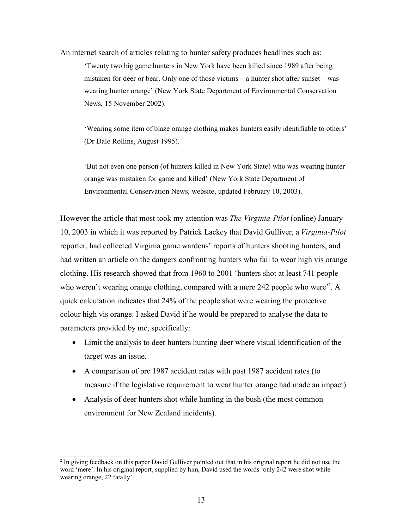An internet search of articles relating to hunter safety produces headlines such as: 'Twenty two big game hunters in New York have been killed since 1989 after being mistaken for deer or bear. Only one of those victims – a hunter shot after sunset – was wearing hunter orange' (New York State Department of Environmental Conservation News, 15 November 2002).

'Wearing some item of blaze orange clothing makes hunters easily identifiable to others' (Dr Dale Rollins, August 1995).

'But not even one person (of hunters killed in New York State) who was wearing hunter orange was mistaken for game and killed' (New York State Department of Environmental Conservation News, website, updated February 10, 2003).

However the article that most took my attention was *The Virginia-Pilot* (online) January 10, 2003 in which it was reported by Patrick Lackey that David Gulliver, a *Virginia-Pilot* reporter, had collected Virginia game wardens' reports of hunters shooting hunters, and had written an article on the dangers confronting hunters who fail to wear high vis orange clothing. His research showed that from 1960 to 2001 'hunters shot at least 741 people who weren't wearing orange clothing, compared with a mere 242 people who were<sup>22</sup>. A quick calculation indicates that 24% of the people shot were wearing the protective colour high vis orange. I asked David if he would be prepared to analyse the data to parameters provided by me, specifically:

- Limit the analysis to deer hunters hunting deer where visual identification of the target was an issue.
- A comparison of pre 1987 accident rates with post 1987 accident rates (to measure if the legislative requirement to wear hunter orange had made an impact).
- Analysis of deer hunters shot while hunting in the bush (the most common environment for New Zealand incidents).

<sup>&</sup>lt;sup>2</sup> In giving feedback on this paper David Gulliver pointed out that in his original report he did not use the word 'mere'. In his original report, supplied by him, David used the words 'only 242 were shot while wearing orange, 22 fatally'.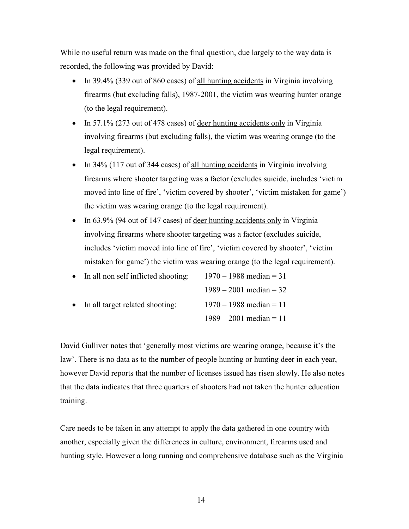While no useful return was made on the final question, due largely to the way data is recorded, the following was provided by David:

- In 39.4% (339 out of 860 cases) of all hunting accidents in Virginia involving firearms (but excluding falls), 1987-2001, the victim was wearing hunter orange (to the legal requirement).
- In 57.1% (273 out of 478 cases) of deer hunting accidents only in Virginia involving firearms (but excluding falls), the victim was wearing orange (to the legal requirement).
- In 34% (117 out of 344 cases) of <u>all hunting accidents</u> in Virginia involving firearms where shooter targeting was a factor (excludes suicide, includes 'victim moved into line of fire', 'victim covered by shooter', 'victim mistaken for game') the victim was wearing orange (to the legal requirement).
- In  $63.9\%$  (94 out of 147 cases) of deer hunting accidents only in Virginia involving firearms where shooter targeting was a factor (excludes suicide, includes 'victim moved into line of fire', 'victim covered by shooter', 'victim mistaken for game') the victim was wearing orange (to the legal requirement).

| • In all non self inflicted shooting: | $1970 - 1988$ median = 31 |
|---------------------------------------|---------------------------|
|                                       | $1989 - 2001$ median = 32 |
| • In all target related shooting:     | $1970 - 1988$ median = 11 |
|                                       | $1989 - 2001$ median = 11 |

David Gulliver notes that 'generally most victims are wearing orange, because it's the law'. There is no data as to the number of people hunting or hunting deer in each year, however David reports that the number of licenses issued has risen slowly. He also notes that the data indicates that three quarters of shooters had not taken the hunter education training.

Care needs to be taken in any attempt to apply the data gathered in one country with another, especially given the differences in culture, environment, firearms used and hunting style. However a long running and comprehensive database such as the Virginia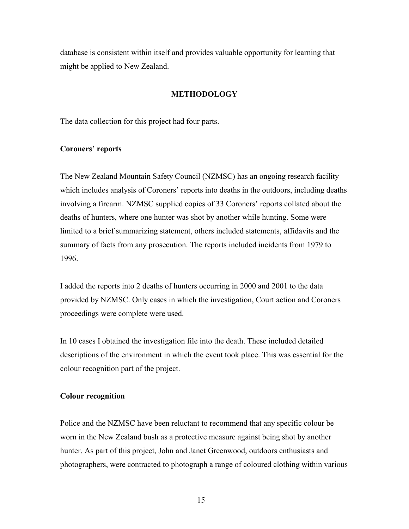database is consistent within itself and provides valuable opportunity for learning that might be applied to New Zealand.

# **METHODOLOGY**

The data collection for this project had four parts.

# **Coroners' reports**

The New Zealand Mountain Safety Council (NZMSC) has an ongoing research facility which includes analysis of Coroners' reports into deaths in the outdoors, including deaths involving a firearm. NZMSC supplied copies of 33 Coroners' reports collated about the deaths of hunters, where one hunter was shot by another while hunting. Some were limited to a brief summarizing statement, others included statements, affidavits and the summary of facts from any prosecution. The reports included incidents from 1979 to 1996.

I added the reports into 2 deaths of hunters occurring in 2000 and 2001 to the data provided by NZMSC. Only cases in which the investigation, Court action and Coroners proceedings were complete were used.

In 10 cases I obtained the investigation file into the death. These included detailed descriptions of the environment in which the event took place. This was essential for the colour recognition part of the project.

# **Colour recognition**

Police and the NZMSC have been reluctant to recommend that any specific colour be worn in the New Zealand bush as a protective measure against being shot by another hunter. As part of this project, John and Janet Greenwood, outdoors enthusiasts and photographers, were contracted to photograph a range of coloured clothing within various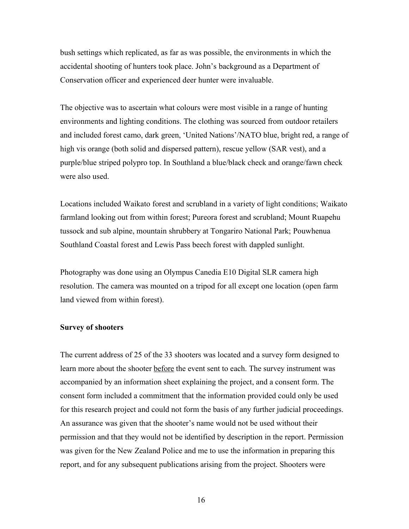bush settings which replicated, as far as was possible, the environments in which the accidental shooting of hunters took place. John's background as a Department of Conservation officer and experienced deer hunter were invaluable.

The objective was to ascertain what colours were most visible in a range of hunting environments and lighting conditions. The clothing was sourced from outdoor retailers and included forest camo, dark green, 'United Nations'/NATO blue, bright red, a range of high vis orange (both solid and dispersed pattern), rescue yellow (SAR vest), and a purple/blue striped polypro top. In Southland a blue/black check and orange/fawn check were also used.

Locations included Waikato forest and scrubland in a variety of light conditions; Waikato farmland looking out from within forest; Pureora forest and scrubland; Mount Ruapehu tussock and sub alpine, mountain shrubbery at Tongariro National Park; Pouwhenua Southland Coastal forest and Lewis Pass beech forest with dappled sunlight.

Photography was done using an Olympus Canedia E10 Digital SLR camera high resolution. The camera was mounted on a tripod for all except one location (open farm land viewed from within forest).

# **Survey of shooters**

The current address of 25 of the 33 shooters was located and a survey form designed to learn more about the shooter before the event sent to each. The survey instrument was accompanied by an information sheet explaining the project, and a consent form. The consent form included a commitment that the information provided could only be used for this research project and could not form the basis of any further judicial proceedings. An assurance was given that the shooter's name would not be used without their permission and that they would not be identified by description in the report. Permission was given for the New Zealand Police and me to use the information in preparing this report, and for any subsequent publications arising from the project. Shooters were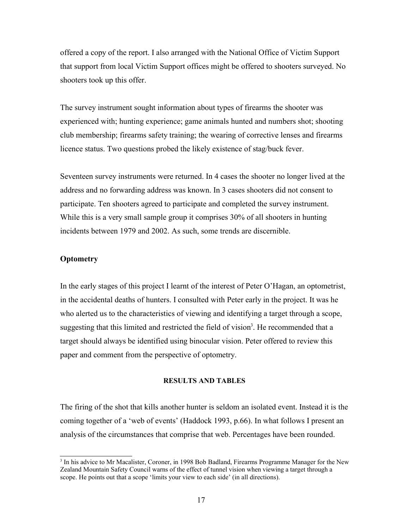offered a copy of the report. I also arranged with the National Office of Victim Support that support from local Victim Support offices might be offered to shooters surveyed. No shooters took up this offer.

The survey instrument sought information about types of firearms the shooter was experienced with; hunting experience; game animals hunted and numbers shot; shooting club membership; firearms safety training; the wearing of corrective lenses and firearms licence status. Two questions probed the likely existence of stag/buck fever.

Seventeen survey instruments were returned. In 4 cases the shooter no longer lived at the address and no forwarding address was known. In 3 cases shooters did not consent to participate. Ten shooters agreed to participate and completed the survey instrument. While this is a very small sample group it comprises 30% of all shooters in hunting incidents between 1979 and 2002. As such, some trends are discernible.

# **Optometry**

In the early stages of this project I learnt of the interest of Peter O'Hagan, an optometrist, in the accidental deaths of hunters. I consulted with Peter early in the project. It was he who alerted us to the characteristics of viewing and identifying a target through a scope, suggesting that this limited and restricted the field of vision<sup>3</sup>. He recommended that a target should always be identified using binocular vision. Peter offered to review this paper and comment from the perspective of optometry.

#### **RESULTS AND TABLES**

The firing of the shot that kills another hunter is seldom an isolated event. Instead it is the coming together of a 'web of events' (Haddock 1993, p.66). In what follows I present an analysis of the circumstances that comprise that web. Percentages have been rounded.

<sup>&</sup>lt;sup>3</sup> In his advice to Mr Macalister, Coroner, in 1998 Bob Badland, Firearms Programme Manager for the New Zealand Mountain Safety Council warns of the effect of tunnel vision when viewing a target through a scope. He points out that a scope 'limits your view to each side' (in all directions).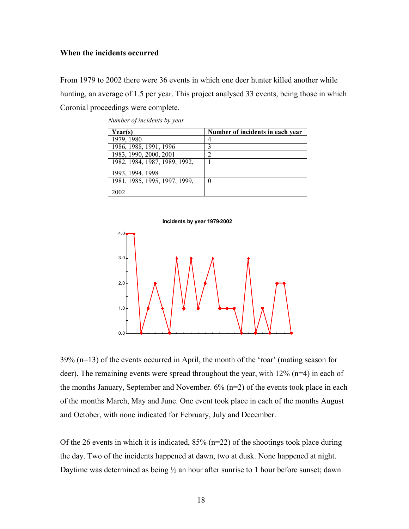# **When the incidents occurred**

From 1979 to 2002 there were 36 events in which one deer hunter killed another while hunting, an average of 1.5 per year. This project analysed 33 events, being those in which Coronial proceedings were complete.

| Year(s)                       | Number of incidents in each year |
|-------------------------------|----------------------------------|
| 1979, 1980                    | 4                                |
| 1986, 1988, 1991, 1996        | 3                                |
| 1983, 1990, 2000, 2001        | $\mathfrak{D}$                   |
| 1982, 1984, 1987, 1989, 1992, |                                  |
| 1993, 1994, 1998              |                                  |
| 1981, 1985, 1995, 1997, 1999, | 0                                |
| 2002                          |                                  |

*Number of incidents by year*



39% (n=13) of the events occurred in April, the month of the 'roar' (mating season for deer). The remaining events were spread throughout the year, with 12% (n=4) in each of the months January, September and November. 6% (n=2) of the events took place in each of the months March, May and June. One event took place in each of the months August and October, with none indicated for February, July and December.

Of the 26 events in which it is indicated,  $85\%$  (n=22) of the shootings took place during the day. Two of the incidents happened at dawn, two at dusk. None happened at night. Daytime was determined as being  $\frac{1}{2}$  an hour after sunrise to 1 hour before sunset; dawn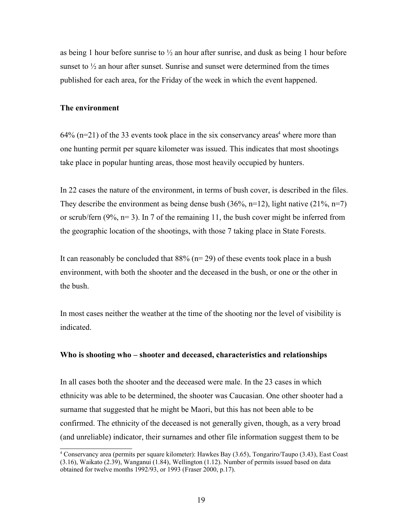as being 1 hour before sunrise to  $\frac{1}{2}$  an hour after sunrise, and dusk as being 1 hour before sunset to  $\frac{1}{2}$  an hour after sunset. Sunrise and sunset were determined from the times published for each area, for the Friday of the week in which the event happened.

# **The environment**

 $64\%$  (n=21) of the 33 events took place in the six conservancy areas<sup>4</sup> where more than one hunting permit per square kilometer was issued. This indicates that most shootings take place in popular hunting areas, those most heavily occupied by hunters.

In 22 cases the nature of the environment, in terms of bush cover, is described in the files. They describe the environment as being dense bush  $(36\%, n=12)$ , light native  $(21\%, n=7)$ or scrub/fern  $(9\%, n=3)$ . In 7 of the remaining 11, the bush cover might be inferred from the geographic location of the shootings, with those 7 taking place in State Forests.

It can reasonably be concluded that  $88\%$  (n= 29) of these events took place in a bush environment, with both the shooter and the deceased in the bush, or one or the other in the bush.

In most cases neither the weather at the time of the shooting nor the level of visibility is indicated.

# **Who is shooting who – shooter and deceased, characteristics and relationships**

In all cases both the shooter and the deceased were male. In the 23 cases in which ethnicity was able to be determined, the shooter was Caucasian. One other shooter had a surname that suggested that he might be Maori, but this has not been able to be confirmed. The ethnicity of the deceased is not generally given, though, as a very broad (and unreliable) indicator, their surnames and other file information suggest them to be

<sup>4</sup> Conservancy area (permits per square kilometer): Hawkes Bay (3.65), Tongariro/Taupo (3.43), East Coast (3.16), Waikato (2.39), Wanganui (1.84), Wellington (1.12). Number of permits issued based on data obtained for twelve months 1992/93, or 1993 (Fraser 2000, p.17).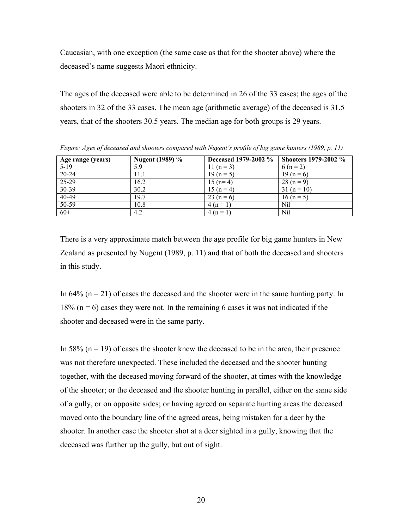Caucasian, with one exception (the same case as that for the shooter above) where the deceased's name suggests Maori ethnicity.

The ages of the deceased were able to be determined in 26 of the 33 cases; the ages of the shooters in 32 of the 33 cases. The mean age (arithmetic average) of the deceased is 31.5 years, that of the shooters 30.5 years. The median age for both groups is 29 years.

| Age range (years) | Nugent (1989) % | Deceased 1979-2002 % | <b>Shooters 1979-2002 %</b> |
|-------------------|-----------------|----------------------|-----------------------------|
| $5-19$            | 5.9             | 11 (n = 3)           | 6 ( $n = 2$ )               |
| 20-24             | 11.1            | $19(n=5)$            | $19(n=6)$                   |
| $25-29$           | 16.2            | $15(n=4)$            | $28(n=9)$                   |
| 30-39             | 30.2            | $15(n=4)$            | $31(n = 10)$                |
| $40-49$           | 19.7            | $23(n=6)$            | $16(n=5)$                   |
| 50-59             | 10.8            | $4(n=1)$             | Nil                         |
| $60+$             | 4.2             | $4(n=1)$             | Nil                         |

*Figure: Ages of deceased and shooters compared with Nugent's profile of big game hunters (1989, p. 11)*

There is a very approximate match between the age profile for big game hunters in New Zealand as presented by Nugent (1989, p. 11) and that of both the deceased and shooters in this study.

In 64% ( $n = 21$ ) of cases the deceased and the shooter were in the same hunting party. In  $18\%$  (n = 6) cases they were not. In the remaining 6 cases it was not indicated if the shooter and deceased were in the same party.

In 58% ( $n = 19$ ) of cases the shooter knew the deceased to be in the area, their presence was not therefore unexpected. These included the deceased and the shooter hunting together, with the deceased moving forward of the shooter, at times with the knowledge of the shooter; or the deceased and the shooter hunting in parallel, either on the same side of a gully, or on opposite sides; or having agreed on separate hunting areas the deceased moved onto the boundary line of the agreed areas, being mistaken for a deer by the shooter. In another case the shooter shot at a deer sighted in a gully, knowing that the deceased was further up the gully, but out of sight.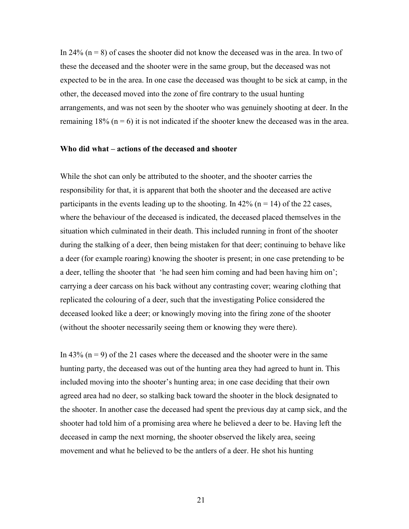In 24%  $(n = 8)$  of cases the shooter did not know the deceased was in the area. In two of these the deceased and the shooter were in the same group, but the deceased was not expected to be in the area. In one case the deceased was thought to be sick at camp, in the other, the deceased moved into the zone of fire contrary to the usual hunting arrangements, and was not seen by the shooter who was genuinely shooting at deer. In the remaining  $18\%$  (n = 6) it is not indicated if the shooter knew the deceased was in the area.

# **Who did what – actions of the deceased and shooter**

While the shot can only be attributed to the shooter, and the shooter carries the responsibility for that, it is apparent that both the shooter and the deceased are active participants in the events leading up to the shooting. In 42% ( $n = 14$ ) of the 22 cases, where the behaviour of the deceased is indicated, the deceased placed themselves in the situation which culminated in their death. This included running in front of the shooter during the stalking of a deer, then being mistaken for that deer; continuing to behave like a deer (for example roaring) knowing the shooter is present; in one case pretending to be a deer, telling the shooter that 'he had seen him coming and had been having him on'; carrying a deer carcass on his back without any contrasting cover; wearing clothing that replicated the colouring of a deer, such that the investigating Police considered the deceased looked like a deer; or knowingly moving into the firing zone of the shooter (without the shooter necessarily seeing them or knowing they were there).

In 43% ( $n = 9$ ) of the 21 cases where the deceased and the shooter were in the same hunting party, the deceased was out of the hunting area they had agreed to hunt in. This included moving into the shooter's hunting area; in one case deciding that their own agreed area had no deer, so stalking back toward the shooter in the block designated to the shooter. In another case the deceased had spent the previous day at camp sick, and the shooter had told him of a promising area where he believed a deer to be. Having left the deceased in camp the next morning, the shooter observed the likely area, seeing movement and what he believed to be the antlers of a deer. He shot his hunting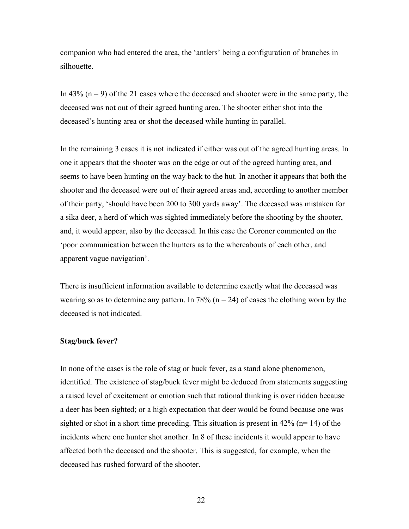companion who had entered the area, the 'antlers' being a configuration of branches in silhouette.

In 43% ( $n = 9$ ) of the 21 cases where the deceased and shooter were in the same party, the deceased was not out of their agreed hunting area. The shooter either shot into the deceased's hunting area or shot the deceased while hunting in parallel.

In the remaining 3 cases it is not indicated if either was out of the agreed hunting areas. In one it appears that the shooter was on the edge or out of the agreed hunting area, and seems to have been hunting on the way back to the hut. In another it appears that both the shooter and the deceased were out of their agreed areas and, according to another member of their party, 'should have been 200 to 300 yards away'. The deceased was mistaken for a sika deer, a herd of which was sighted immediately before the shooting by the shooter, and, it would appear, also by the deceased. In this case the Coroner commented on the 'poor communication between the hunters as to the whereabouts of each other, and apparent vague navigation'.

There is insufficient information available to determine exactly what the deceased was wearing so as to determine any pattern. In 78% ( $n = 24$ ) of cases the clothing worn by the deceased is not indicated.

# **Stag/buck fever?**

In none of the cases is the role of stag or buck fever, as a stand alone phenomenon, identified. The existence of stag/buck fever might be deduced from statements suggesting a raised level of excitement or emotion such that rational thinking is over ridden because a deer has been sighted; or a high expectation that deer would be found because one was sighted or shot in a short time preceding. This situation is present in  $42\%$  (n= 14) of the incidents where one hunter shot another. In 8 of these incidents it would appear to have affected both the deceased and the shooter. This is suggested, for example, when the deceased has rushed forward of the shooter.

22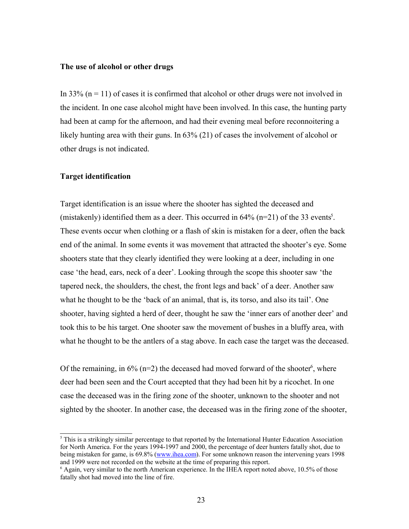#### **The use of alcohol or other drugs**

In 33% ( $n = 11$ ) of cases it is confirmed that alcohol or other drugs were not involved in the incident. In one case alcohol might have been involved. In this case, the hunting party had been at camp for the afternoon, and had their evening meal before reconnoitering a likely hunting area with their guns. In 63% (21) of cases the involvement of alcohol or other drugs is not indicated.

# **Target identification**

Target identification is an issue where the shooter has sighted the deceased and (mistakenly) identified them as a deer. This occurred in  $64\%$  (n=21) of the 33 events<sup>5</sup>. These events occur when clothing or a flash of skin is mistaken for a deer, often the back end of the animal. In some events it was movement that attracted the shooter's eye. Some shooters state that they clearly identified they were looking at a deer, including in one case 'the head, ears, neck of a deer'. Looking through the scope this shooter saw 'the tapered neck, the shoulders, the chest, the front legs and back' of a deer. Another saw what he thought to be the 'back of an animal, that is, its torso, and also its tail'. One shooter, having sighted a herd of deer, thought he saw the 'inner ears of another deer' and took this to be his target. One shooter saw the movement of bushes in a bluffy area, with what he thought to be the antlers of a stag above. In each case the target was the deceased.

Of the remaining, in  $6\%$  (n=2) the deceased had moved forward of the shooter<sup>6</sup>, where deer had been seen and the Court accepted that they had been hit by a ricochet. In one case the deceased was in the firing zone of the shooter, unknown to the shooter and not sighted by the shooter. In another case, the deceased was in the firing zone of the shooter,

 $<sup>5</sup>$  This is a strikingly similar percentage to that reported by the International Hunter Education Association</sup> for North America. For the years 1994-1997 and 2000, the percentage of deer hunters fatally shot, due to being mistaken for game, is 69.8% (www.ihea.com). For some unknown reason the intervening years 1998 and 1999 were not recorded on the website at the time of preparing this report.

<sup>6</sup> Again, very similar to the north American experience. In the IHEA report noted above, 10.5% of those fatally shot had moved into the line of fire.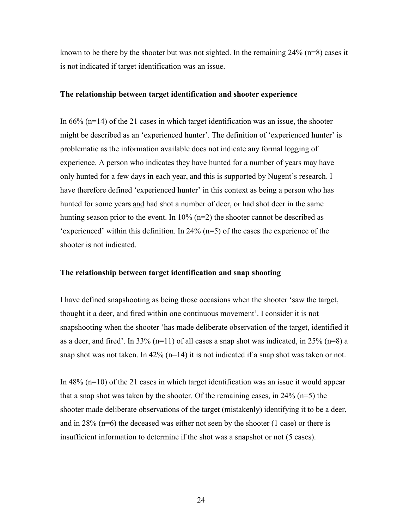known to be there by the shooter but was not sighted. In the remaining  $24\%$  (n=8) cases it is not indicated if target identification was an issue.

# **The relationship between target identification and shooter experience**

In 66% (n=14) of the 21 cases in which target identification was an issue, the shooter might be described as an 'experienced hunter'. The definition of 'experienced hunter' is problematic as the information available does not indicate any formal logging of experience. A person who indicates they have hunted for a number of years may have only hunted for a few days in each year, and this is supported by Nugent's research. I have therefore defined 'experienced hunter' in this context as being a person who has hunted for some years and had shot a number of deer, or had shot deer in the same hunting season prior to the event. In  $10\%$  (n=2) the shooter cannot be described as 'experienced' within this definition. In 24% (n=5) of the cases the experience of the shooter is not indicated.

# **The relationship between target identification and snap shooting**

I have defined snapshooting as being those occasions when the shooter 'saw the target, thought it a deer, and fired within one continuous movement'. I consider it is not snapshooting when the shooter 'has made deliberate observation of the target, identified it as a deer, and fired'. In 33% (n=11) of all cases a snap shot was indicated, in 25% (n=8) a snap shot was not taken. In  $42\%$  (n=14) it is not indicated if a snap shot was taken or not.

In 48% (n=10) of the 21 cases in which target identification was an issue it would appear that a snap shot was taken by the shooter. Of the remaining cases, in  $24\%$  (n=5) the shooter made deliberate observations of the target (mistakenly) identifying it to be a deer, and in  $28\%$  (n=6) the deceased was either not seen by the shooter (1 case) or there is insufficient information to determine if the shot was a snapshot or not (5 cases).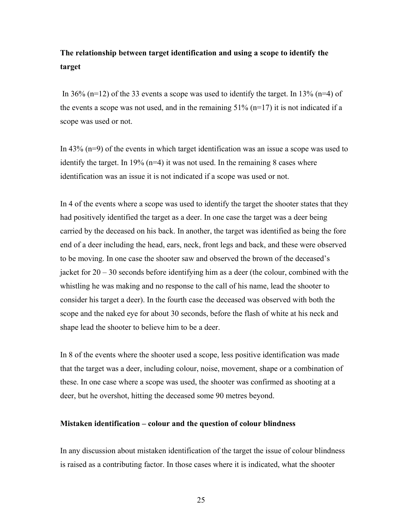# **The relationship between target identification and using a scope to identify the target**

In 36% (n=12) of the 33 events a scope was used to identify the target. In 13% (n=4) of the events a scope was not used, and in the remaining  $51\%$  (n=17) it is not indicated if a scope was used or not.

In 43% (n=9) of the events in which target identification was an issue a scope was used to identify the target. In 19% ( $n=4$ ) it was not used. In the remaining 8 cases where identification was an issue it is not indicated if a scope was used or not.

In 4 of the events where a scope was used to identify the target the shooter states that they had positively identified the target as a deer. In one case the target was a deer being carried by the deceased on his back. In another, the target was identified as being the fore end of a deer including the head, ears, neck, front legs and back, and these were observed to be moving. In one case the shooter saw and observed the brown of the deceased's jacket for  $20 - 30$  seconds before identifying him as a deer (the colour, combined with the whistling he was making and no response to the call of his name, lead the shooter to consider his target a deer). In the fourth case the deceased was observed with both the scope and the naked eye for about 30 seconds, before the flash of white at his neck and shape lead the shooter to believe him to be a deer.

In 8 of the events where the shooter used a scope, less positive identification was made that the target was a deer, including colour, noise, movement, shape or a combination of these. In one case where a scope was used, the shooter was confirmed as shooting at a deer, but he overshot, hitting the deceased some 90 metres beyond.

# **Mistaken identification – colour and the question of colour blindness**

In any discussion about mistaken identification of the target the issue of colour blindness is raised as a contributing factor. In those cases where it is indicated, what the shooter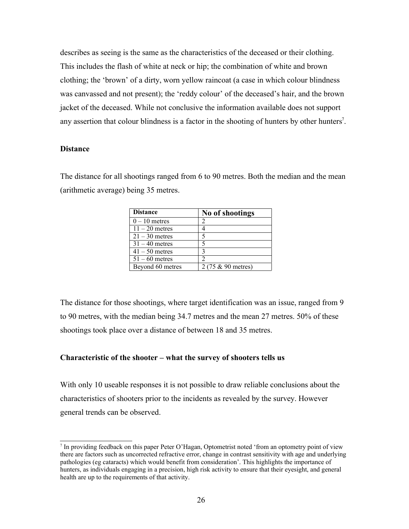describes as seeing is the same as the characteristics of the deceased or their clothing. This includes the flash of white at neck or hip; the combination of white and brown clothing; the 'brown' of a dirty, worn yellow raincoat (a case in which colour blindness was canvassed and not present); the 'reddy colour' of the deceased's hair, and the brown jacket of the deceased. While not conclusive the information available does not support any assertion that colour blindness is a factor in the shooting of hunters by other hunters<sup>7</sup>.

# **Distance**

The distance for all shootings ranged from 6 to 90 metres. Both the median and the mean (arithmetic average) being 35 metres.

| <b>Distance</b>  | No of shootings    |
|------------------|--------------------|
| $0 - 10$ metres  |                    |
| $11 - 20$ metres |                    |
| $21 - 30$ metres | 5                  |
| $31 - 40$ metres |                    |
| $41 - 50$ metres |                    |
| $51 - 60$ metres |                    |
| Beyond 60 metres | 2 (75 & 90 metres) |

The distance for those shootings, where target identification was an issue, ranged from 9 to 90 metres, with the median being 34.7 metres and the mean 27 metres. 50% of these shootings took place over a distance of between 18 and 35 metres.

# **Characteristic of the shooter – what the survey of shooters tells us**

With only 10 useable responses it is not possible to draw reliable conclusions about the characteristics of shooters prior to the incidents as revealed by the survey. However general trends can be observed.

<sup>7</sup> In providing feedback on this paper Peter O'Hagan, Optometrist noted 'from an optometry point of view there are factors such as uncorrected refractive error, change in contrast sensitivity with age and underlying pathologies (eg cataracts) which would benefit from consideration'. This highlights the importance of hunters, as individuals engaging in a precision, high risk activity to ensure that their eyesight, and general health are up to the requirements of that activity.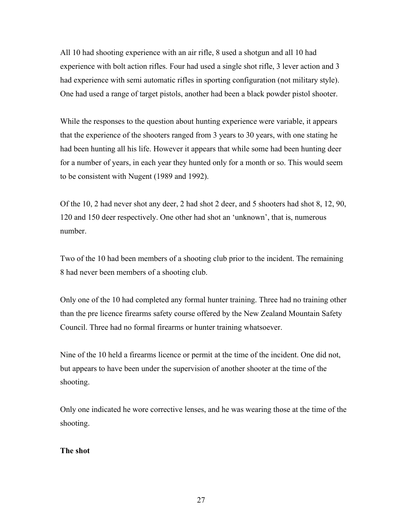All 10 had shooting experience with an air rifle, 8 used a shotgun and all 10 had experience with bolt action rifles. Four had used a single shot rifle, 3 lever action and 3 had experience with semi automatic rifles in sporting configuration (not military style). One had used a range of target pistols, another had been a black powder pistol shooter.

While the responses to the question about hunting experience were variable, it appears that the experience of the shooters ranged from 3 years to 30 years, with one stating he had been hunting all his life. However it appears that while some had been hunting deer for a number of years, in each year they hunted only for a month or so. This would seem to be consistent with Nugent (1989 and 1992).

Of the 10, 2 had never shot any deer, 2 had shot 2 deer, and 5 shooters had shot 8, 12, 90, 120 and 150 deer respectively. One other had shot an 'unknown', that is, numerous number.

Two of the 10 had been members of a shooting club prior to the incident. The remaining 8 had never been members of a shooting club.

Only one of the 10 had completed any formal hunter training. Three had no training other than the pre licence firearms safety course offered by the New Zealand Mountain Safety Council. Three had no formal firearms or hunter training whatsoever.

Nine of the 10 held a firearms licence or permit at the time of the incident. One did not, but appears to have been under the supervision of another shooter at the time of the shooting.

Only one indicated he wore corrective lenses, and he was wearing those at the time of the shooting.

# **The shot**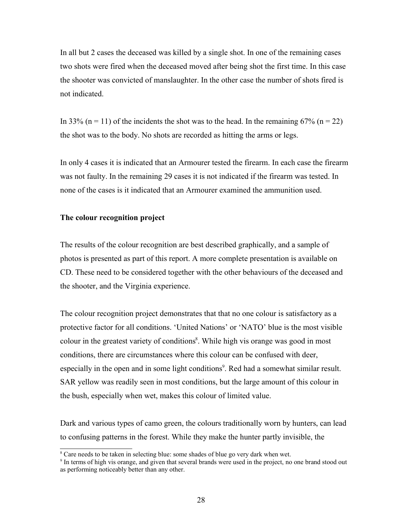In all but 2 cases the deceased was killed by a single shot. In one of the remaining cases two shots were fired when the deceased moved after being shot the first time. In this case the shooter was convicted of manslaughter. In the other case the number of shots fired is not indicated.

In 33% (n = 11) of the incidents the shot was to the head. In the remaining 67% (n = 22) the shot was to the body. No shots are recorded as hitting the arms or legs.

In only 4 cases it is indicated that an Armourer tested the firearm. In each case the firearm was not faulty. In the remaining 29 cases it is not indicated if the firearm was tested. In none of the cases is it indicated that an Armourer examined the ammunition used.

# **The colour recognition project**

The results of the colour recognition are best described graphically, and a sample of photos is presented as part of this report. A more complete presentation is available on CD. These need to be considered together with the other behaviours of the deceased and the shooter, and the Virginia experience.

The colour recognition project demonstrates that that no one colour is satisfactory as a protective factor for all conditions. 'United Nations' or 'NATO' blue is the most visible colour in the greatest variety of conditions<sup>8</sup>. While high vis orange was good in most conditions, there are circumstances where this colour can be confused with deer, especially in the open and in some light conditions<sup>9</sup>. Red had a somewhat similar result. SAR yellow was readily seen in most conditions, but the large amount of this colour in the bush, especially when wet, makes this colour of limited value.

Dark and various types of camo green, the colours traditionally worn by hunters, can lead to confusing patterns in the forest. While they make the hunter partly invisible, the

<sup>&</sup>lt;sup>8</sup> Care needs to be taken in selecting blue: some shades of blue go very dark when wet.

<sup>9</sup> In terms of high vis orange, and given that several brands were used in the project, no one brand stood out as performing noticeably better than any other.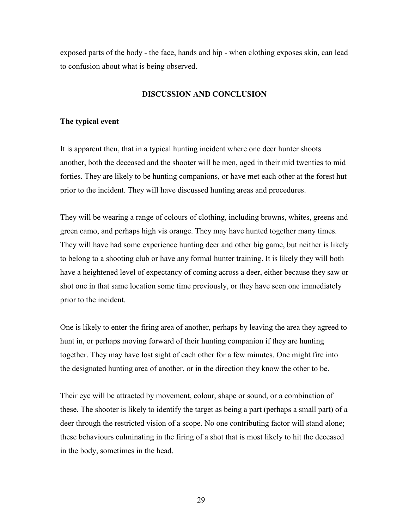exposed parts of the body - the face, hands and hip - when clothing exposes skin, can lead to confusion about what is being observed.

# **DISCUSSION AND CONCLUSION**

# **The typical event**

It is apparent then, that in a typical hunting incident where one deer hunter shoots another, both the deceased and the shooter will be men, aged in their mid twenties to mid forties. They are likely to be hunting companions, or have met each other at the forest hut prior to the incident. They will have discussed hunting areas and procedures.

They will be wearing a range of colours of clothing, including browns, whites, greens and green camo, and perhaps high vis orange. They may have hunted together many times. They will have had some experience hunting deer and other big game, but neither is likely to belong to a shooting club or have any formal hunter training. It is likely they will both have a heightened level of expectancy of coming across a deer, either because they saw or shot one in that same location some time previously, or they have seen one immediately prior to the incident.

One is likely to enter the firing area of another, perhaps by leaving the area they agreed to hunt in, or perhaps moving forward of their hunting companion if they are hunting together. They may have lost sight of each other for a few minutes. One might fire into the designated hunting area of another, or in the direction they know the other to be.

Their eye will be attracted by movement, colour, shape or sound, or a combination of these. The shooter is likely to identify the target as being a part (perhaps a small part) of a deer through the restricted vision of a scope. No one contributing factor will stand alone; these behaviours culminating in the firing of a shot that is most likely to hit the deceased in the body, sometimes in the head.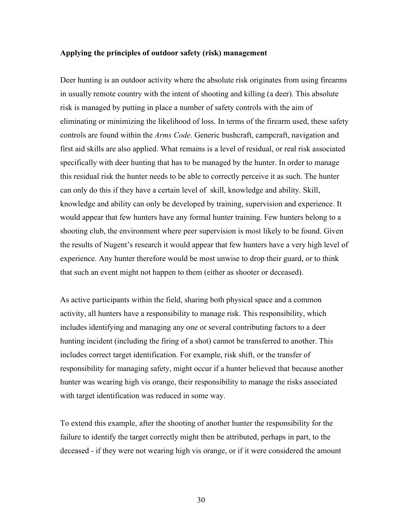# **Applying the principles of outdoor safety (risk) management**

Deer hunting is an outdoor activity where the absolute risk originates from using firearms in usually remote country with the intent of shooting and killing (a deer). This absolute risk is managed by putting in place a number of safety controls with the aim of eliminating or minimizing the likelihood of loss. In terms of the firearm used, these safety controls are found within the *Arms Code*. Generic bushcraft, campcraft, navigation and first aid skills are also applied. What remains is a level of residual, or real risk associated specifically with deer hunting that has to be managed by the hunter. In order to manage this residual risk the hunter needs to be able to correctly perceive it as such. The hunter can only do this if they have a certain level of skill, knowledge and ability. Skill, knowledge and ability can only be developed by training, supervision and experience. It would appear that few hunters have any formal hunter training. Few hunters belong to a shooting club, the environment where peer supervision is most likely to be found. Given the results of Nugent's research it would appear that few hunters have a very high level of experience. Any hunter therefore would be most unwise to drop their guard, or to think that such an event might not happen to them (either as shooter or deceased).

As active participants within the field, sharing both physical space and a common activity, all hunters have a responsibility to manage risk. This responsibility, which includes identifying and managing any one or several contributing factors to a deer hunting incident (including the firing of a shot) cannot be transferred to another. This includes correct target identification. For example, risk shift, or the transfer of responsibility for managing safety, might occur if a hunter believed that because another hunter was wearing high vis orange, their responsibility to manage the risks associated with target identification was reduced in some way.

To extend this example, after the shooting of another hunter the responsibility for the failure to identify the target correctly might then be attributed, perhaps in part, to the deceased - if they were not wearing high vis orange, or if it were considered the amount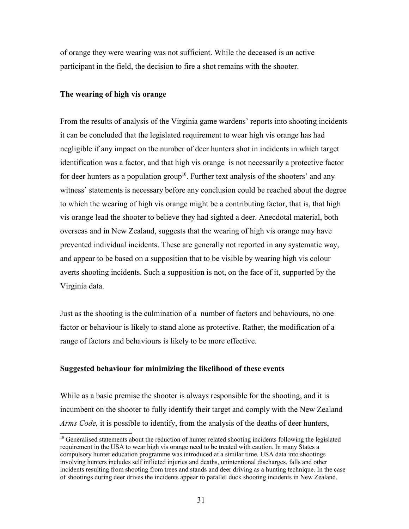of orange they were wearing was not sufficient. While the deceased is an active participant in the field, the decision to fire a shot remains with the shooter.

# **The wearing of high vis orange**

From the results of analysis of the Virginia game wardens' reports into shooting incidents it can be concluded that the legislated requirement to wear high vis orange has had negligible if any impact on the number of deer hunters shot in incidents in which target identification was a factor, and that high vis orange is not necessarily a protective factor for deer hunters as a population group<sup>10</sup>. Further text analysis of the shooters' and any witness' statements is necessary before any conclusion could be reached about the degree to which the wearing of high vis orange might be a contributing factor, that is, that high vis orange lead the shooter to believe they had sighted a deer. Anecdotal material, both overseas and in New Zealand, suggests that the wearing of high vis orange may have prevented individual incidents. These are generally not reported in any systematic way, and appear to be based on a supposition that to be visible by wearing high vis colour averts shooting incidents. Such a supposition is not, on the face of it, supported by the Virginia data.

Just as the shooting is the culmination of a number of factors and behaviours, no one factor or behaviour is likely to stand alone as protective. Rather, the modification of a range of factors and behaviours is likely to be more effective.

# **Suggested behaviour for minimizing the likelihood of these events**

While as a basic premise the shooter is always responsible for the shooting, and it is incumbent on the shooter to fully identify their target and comply with the New Zealand *Arms Code,* it is possible to identify, from the analysis of the deaths of deer hunters,

<sup>&</sup>lt;sup>10</sup> Generalised statements about the reduction of hunter related shooting incidents following the legislated requirement in the USA to wear high vis orange need to be treated with caution. In many States a compulsory hunter education programme was introduced at a similar time. USA data into shootings involving hunters includes self inflicted injuries and deaths, unintentional discharges, falls and other incidents resulting from shooting from trees and stands and deer driving as a hunting technique. In the case of shootings during deer drives the incidents appear to parallel duck shooting incidents in New Zealand.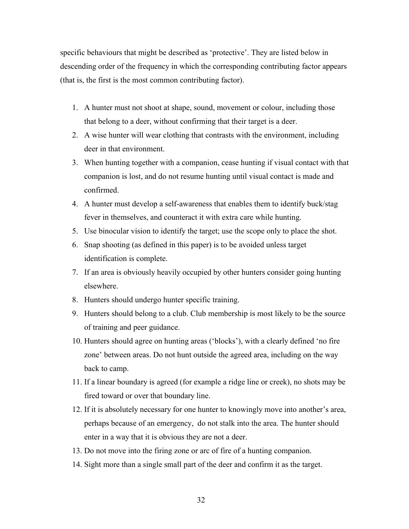specific behaviours that might be described as 'protective'. They are listed below in descending order of the frequency in which the corresponding contributing factor appears (that is, the first is the most common contributing factor).

- 1. A hunter must not shoot at shape, sound, movement or colour, including those that belong to a deer, without confirming that their target is a deer.
- 2. A wise hunter will wear clothing that contrasts with the environment, including deer in that environment.
- 3. When hunting together with a companion, cease hunting if visual contact with that companion is lost, and do not resume hunting until visual contact is made and confirmed.
- 4. A hunter must develop a self-awareness that enables them to identify buck/stag fever in themselves, and counteract it with extra care while hunting.
- 5. Use binocular vision to identify the target; use the scope only to place the shot.
- 6. Snap shooting (as defined in this paper) is to be avoided unless target identification is complete.
- 7. If an area is obviously heavily occupied by other hunters consider going hunting elsewhere.
- 8. Hunters should undergo hunter specific training.
- 9. Hunters should belong to a club. Club membership is most likely to be the source of training and peer guidance.
- 10. Hunters should agree on hunting areas ('blocks'), with a clearly defined 'no fire zone' between areas. Do not hunt outside the agreed area, including on the way back to camp.
- 11. If a linear boundary is agreed (for example a ridge line or creek), no shots may be fired toward or over that boundary line.
- 12. If it is absolutely necessary for one hunter to knowingly move into another's area, perhaps because of an emergency, do not stalk into the area. The hunter should enter in a way that it is obvious they are not a deer.
- 13. Do not move into the firing zone or arc of fire of a hunting companion.
- 14. Sight more than a single small part of the deer and confirm it as the target.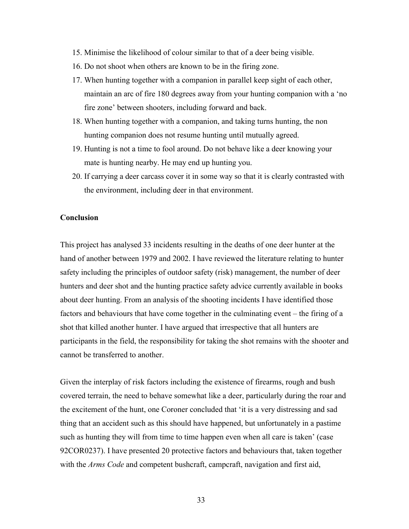- 15. Minimise the likelihood of colour similar to that of a deer being visible.
- 16. Do not shoot when others are known to be in the firing zone.
- 17. When hunting together with a companion in parallel keep sight of each other, maintain an arc of fire 180 degrees away from your hunting companion with a 'no fire zone' between shooters, including forward and back.
- 18. When hunting together with a companion, and taking turns hunting, the non hunting companion does not resume hunting until mutually agreed.
- 19. Hunting is not a time to fool around. Do not behave like a deer knowing your mate is hunting nearby. He may end up hunting you.
- 20. If carrying a deer carcass cover it in some way so that it is clearly contrasted with the environment, including deer in that environment.

# **Conclusion**

This project has analysed 33 incidents resulting in the deaths of one deer hunter at the hand of another between 1979 and 2002. I have reviewed the literature relating to hunter safety including the principles of outdoor safety (risk) management, the number of deer hunters and deer shot and the hunting practice safety advice currently available in books about deer hunting. From an analysis of the shooting incidents I have identified those factors and behaviours that have come together in the culminating event – the firing of a shot that killed another hunter. I have argued that irrespective that all hunters are participants in the field, the responsibility for taking the shot remains with the shooter and cannot be transferred to another.

Given the interplay of risk factors including the existence of firearms, rough and bush covered terrain, the need to behave somewhat like a deer, particularly during the roar and the excitement of the hunt, one Coroner concluded that 'it is a very distressing and sad thing that an accident such as this should have happened, but unfortunately in a pastime such as hunting they will from time to time happen even when all care is taken' (case 92COR0237). I have presented 20 protective factors and behaviours that, taken together with the *Arms Code* and competent bushcraft, campcraft, navigation and first aid,

33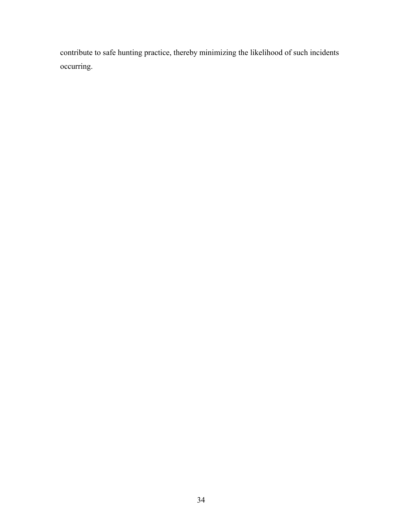contribute to safe hunting practice, thereby minimizing the likelihood of such incidents occurring.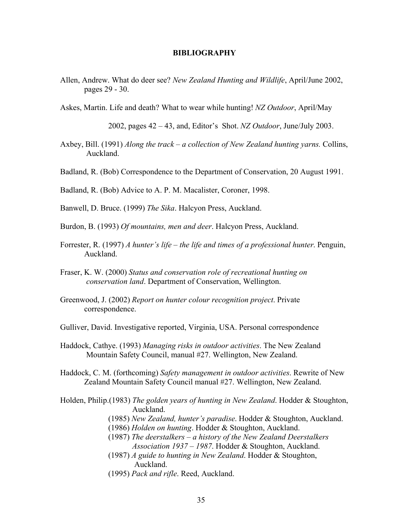#### **BIBLIOGRAPHY**

- Allen, Andrew. What do deer see? *New Zealand Hunting and Wildlife*, April/June 2002, pages 29 - 30.
- Askes, Martin. Life and death? What to wear while hunting! *NZ Outdoor*, April/May

2002, pages 42 – 43, and, Editor's Shot. *NZ Outdoor*, June/July 2003.

- Axbey, Bill. (1991) *Along the track a collection of New Zealand hunting yarns.* Collins, Auckland.
- Badland, R. (Bob) Correspondence to the Department of Conservation, 20 August 1991.

Badland, R. (Bob) Advice to A. P. M. Macalister, Coroner, 1998.

Banwell, D. Bruce. (1999) *The Sika*. Halcyon Press, Auckland.

Burdon, B. (1993) *Of mountains, men and deer*. Halcyon Press, Auckland.

- Forrester, R. (1997) *A hunter's life the life and times of a professional hunter*. Penguin, Auckland.
- Fraser, K. W. (2000) *Status and conservation role of recreational hunting on conservation land*. Department of Conservation, Wellington.
- Greenwood, J. (2002) *Report on hunter colour recognition project*. Private correspondence.
- Gulliver, David. Investigative reported, Virginia, USA. Personal correspondence
- Haddock, Cathye. (1993) *Managing risks in outdoor activities*. The New Zealand Mountain Safety Council, manual #27. Wellington, New Zealand.
- Haddock, C. M. (forthcoming) *Safety management in outdoor activities*. Rewrite of New Zealand Mountain Safety Council manual #27. Wellington, New Zealand.
- Holden, Philip.(1983) *The golden years of hunting in New Zealand*. Hodder & Stoughton, Auckland.
	- (1985) *New Zealand, hunter's paradise*. Hodder & Stoughton, Auckland.
	- (1986) *Holden on hunting*. Hodder & Stoughton, Auckland.
	- (1987) *The deerstalkers a history of the New Zealand Deerstalkers Association 1937 – 1987*. Hodder & Stoughton, Auckland.
	- (1987) *A guide to hunting in New Zealand*. Hodder & Stoughton, Auckland.
	- (1995) *Pack and rifle*. Reed, Auckland.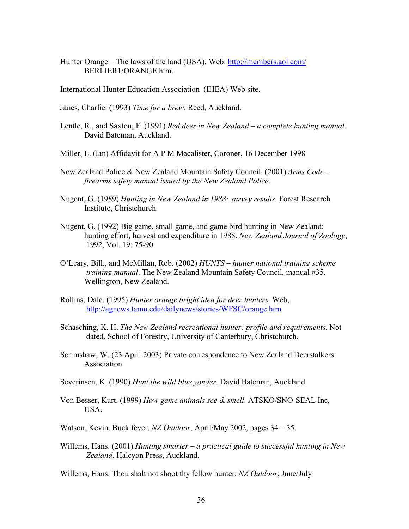Hunter Orange – The laws of the land (USA). Web: http://members.aol.com/ BERLIER1/ORANGE.htm.

International Hunter Education Association (IHEA) Web site.

Janes, Charlie. (1993) *Time for a brew*. Reed, Auckland.

- Lentle, R., and Saxton, F. (1991) *Red deer in New Zealand a complete hunting manual*. David Bateman, Auckland.
- Miller, L. (Ian) Affidavit for A P M Macalister, Coroner, 16 December 1998
- New Zealand Police & New Zealand Mountain Safety Council. (2001) *Arms Code firearms safety manual issued by the New Zealand Police*.
- Nugent, G. (1989) *Hunting in New Zealand in 1988: survey results.* Forest Research Institute, Christchurch.
- Nugent, G. (1992) Big game, small game, and game bird hunting in New Zealand: hunting effort, harvest and expenditure in 1988. *New Zealand Journal of Zoology*, 1992, Vol. 19: 75-90.
- O'Leary, Bill., and McMillan, Rob. (2002) *HUNTS hunter national training scheme training manual*. The New Zealand Mountain Safety Council, manual #35. Wellington, New Zealand.
- Rollins, Dale. (1995) *Hunter orange bright idea for deer hunters*. Web, http://agnews.tamu.edu/dailynews/stories/WFSC/orange.htm
- Schasching, K. H. *The New Zealand recreational hunter: profile and requirements*. Not dated, School of Forestry, University of Canterbury, Christchurch.
- Scrimshaw, W. (23 April 2003) Private correspondence to New Zealand Deerstalkers **Association**
- Severinsen, K. (1990) *Hunt the wild blue yonder*. David Bateman, Auckland.
- Von Besser, Kurt. (1999) *How game animals see & smell*. ATSKO/SNO-SEAL Inc, USA.
- Watson, Kevin. Buck fever. *NZ Outdoor*, April/May 2002, pages 34 35.
- Willems, Hans. (2001) *Hunting smarter a practical guide to successful hunting in New Zealand*. Halcyon Press, Auckland.

Willems, Hans. Thou shalt not shoot thy fellow hunter. *NZ Outdoor*, June/July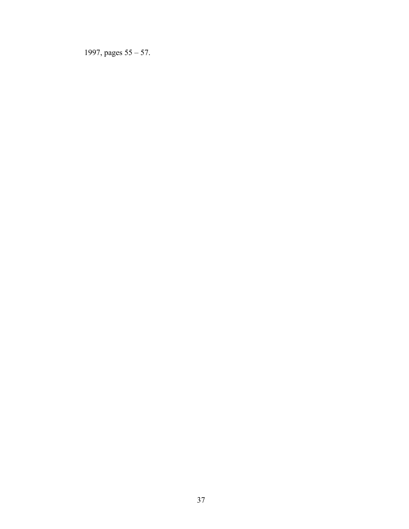1997, pages 55 – 57.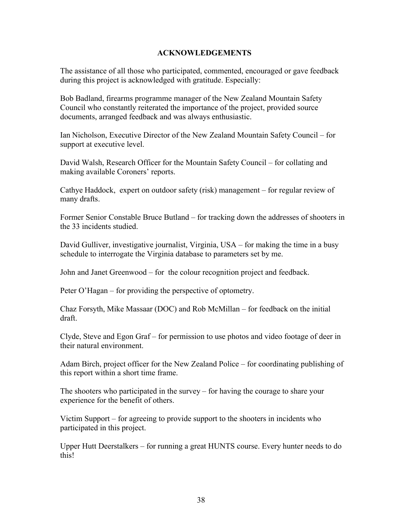# **ACKNOWLEDGEMENTS**

The assistance of all those who participated, commented, encouraged or gave feedback during this project is acknowledged with gratitude. Especially:

Bob Badland, firearms programme manager of the New Zealand Mountain Safety Council who constantly reiterated the importance of the project, provided source documents, arranged feedback and was always enthusiastic.

Ian Nicholson, Executive Director of the New Zealand Mountain Safety Council – for support at executive level.

David Walsh, Research Officer for the Mountain Safety Council – for collating and making available Coroners' reports.

Cathye Haddock, expert on outdoor safety (risk) management – for regular review of many drafts.

Former Senior Constable Bruce Butland – for tracking down the addresses of shooters in the 33 incidents studied.

David Gulliver, investigative journalist, Virginia, USA – for making the time in a busy schedule to interrogate the Virginia database to parameters set by me.

John and Janet Greenwood – for the colour recognition project and feedback.

Peter O'Hagan – for providing the perspective of optometry.

Chaz Forsyth, Mike Massaar (DOC) and Rob McMillan – for feedback on the initial draft.

Clyde, Steve and Egon Graf – for permission to use photos and video footage of deer in their natural environment.

Adam Birch, project officer for the New Zealand Police – for coordinating publishing of this report within a short time frame.

The shooters who participated in the survey – for having the courage to share your experience for the benefit of others.

Victim Support – for agreeing to provide support to the shooters in incidents who participated in this project.

Upper Hutt Deerstalkers – for running a great HUNTS course. Every hunter needs to do this!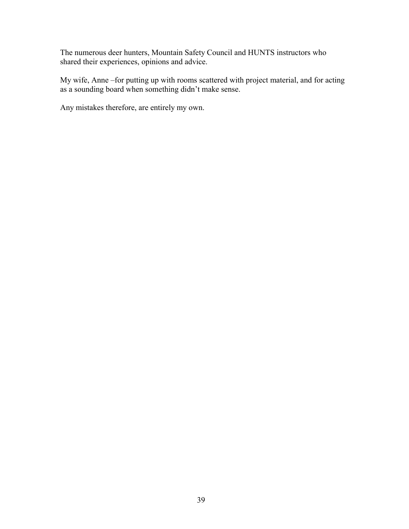The numerous deer hunters, Mountain Safety Council and HUNTS instructors who shared their experiences, opinions and advice.

My wife, Anne –for putting up with rooms scattered with project material, and for acting as a sounding board when something didn't make sense.

Any mistakes therefore, are entirely my own.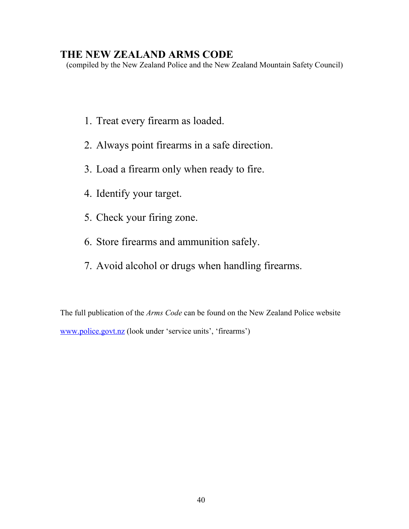# **THE NEW ZEALAND ARMS CODE**

(compiled by the New Zealand Police and the New Zealand Mountain Safety Council)

- 1. Treat every firearm as loaded.
- 2. Always point firearms in a safe direction.
- 3. Load a firearm only when ready to fire.
- 4. Identify your target.
- 5. Check your firing zone.
- 6. Store firearms and ammunition safely.
- 7. Avoid alcohol or drugs when handling firearms.

The full publication of the *Arms Code* can be found on the New Zealand Police website www.police.govt.nz (look under 'service units', 'firearms')